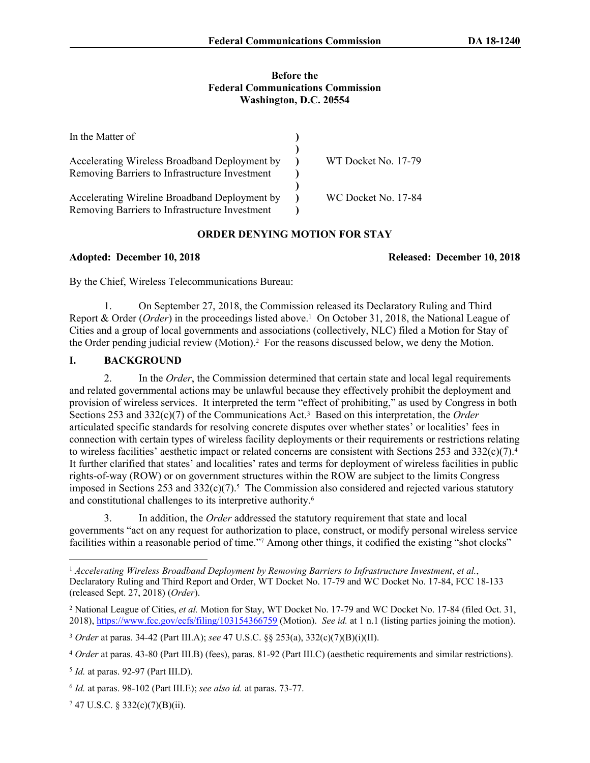### **Before the Federal Communications Commission Washington, D.C. 20554**

| In the Matter of                                                                                |                     |
|-------------------------------------------------------------------------------------------------|---------------------|
| Accelerating Wireless Broadband Deployment by<br>Removing Barriers to Infrastructure Investment | WT Docket No. 17-79 |
| Accelerating Wireline Broadband Deployment by<br>Removing Barriers to Infrastructure Investment | WC Docket No. 17-84 |

# **ORDER DENYING MOTION FOR STAY**

# **Adopted: December 10, 2018 Released: December 10, 2018**

By the Chief, Wireless Telecommunications Bureau:

1. On September 27, 2018, the Commission released its Declaratory Ruling and Third Report & Order (Order) in the proceedings listed above.<sup>1</sup> On October 31, 2018, the National League of Cities and a group of local governments and associations (collectively, NLC) filed a Motion for Stay of the Order pending judicial review (Motion).<sup>2</sup> For the reasons discussed below, we deny the Motion.

# **I. BACKGROUND**

2. In the *Order*, the Commission determined that certain state and local legal requirements and related governmental actions may be unlawful because they effectively prohibit the deployment and provision of wireless services. It interpreted the term "effect of prohibiting," as used by Congress in both Sections 253 and 332(c)(7) of the Communications Act.<sup>3</sup> Based on this interpretation, the *Order* articulated specific standards for resolving concrete disputes over whether states' or localities' fees in connection with certain types of wireless facility deployments or their requirements or restrictions relating to wireless facilities' aesthetic impact or related concerns are consistent with Sections 253 and 332(c)(7).<sup>4</sup> It further clarified that states' and localities' rates and terms for deployment of wireless facilities in public rights-of-way (ROW) or on government structures within the ROW are subject to the limits Congress imposed in Sections 253 and  $332(c)(7)$ .<sup>5</sup> The Commission also considered and rejected various statutory and constitutional challenges to its interpretive authority.<sup>6</sup>

3. In addition, the *Order* addressed the statutory requirement that state and local governments "act on any request for authorization to place, construct, or modify personal wireless service facilities within a reasonable period of time."<sup>7</sup> Among other things, it codified the existing "shot clocks"

<sup>1</sup> *Accelerating Wireless Broadband Deployment by Removing Barriers to Infrastructure Investment*, *et al.*, Declaratory Ruling and Third Report and Order, WT Docket No. 17-79 and WC Docket No. 17-84, FCC 18-133 (released Sept. 27, 2018) (*Order*).

<sup>2</sup> National League of Cities, *et al.* Motion for Stay, WT Docket No. 17-79 and WC Docket No. 17-84 (filed Oct. 31, 2018), <https://www.fcc.gov/ecfs/filing/103154366759> (Motion). *See id.* at 1 n.1 (listing parties joining the motion).

<sup>3</sup> *Order* at paras. 34-42 (Part III.A); *see* 47 U.S.C. §§ 253(a), 332(c)(7)(B)(i)(II).

<sup>4</sup> *Order* at paras. 43-80 (Part III.B) (fees), paras. 81-92 (Part III.C) (aesthetic requirements and similar restrictions).

<sup>5</sup> *Id.* at paras. 92-97 (Part III.D).

<sup>6</sup> *Id.* at paras. 98-102 (Part III.E); *see also id.* at paras. 73-77.

 $747$  U.S.C. § 332(c)(7)(B)(ii).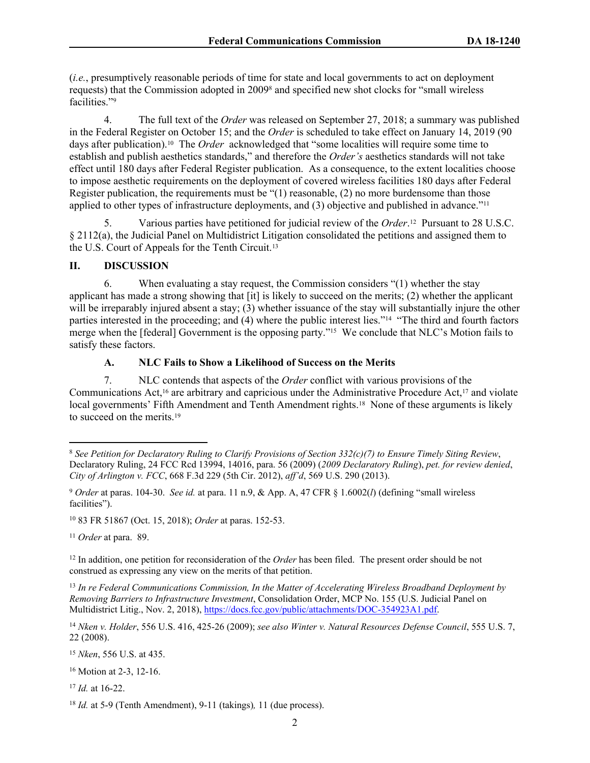(*i.e.*, presumptively reasonable periods of time for state and local governments to act on deployment requests) that the Commission adopted in 2009<sup>8</sup> and specified new shot clocks for "small wireless facilities."<sup>9</sup>

4. The full text of the *Order* was released on September 27, 2018; a summary was published in the Federal Register on October 15; and the *Order* is scheduled to take effect on January 14, 2019 (90 days after publication).<sup>10</sup> The *Order* acknowledged that "some localities will require some time to establish and publish aesthetics standards," and therefore the *Order's* aesthetics standards will not take effect until 180 days after Federal Register publication. As a consequence, to the extent localities choose to impose aesthetic requirements on the deployment of covered wireless facilities 180 days after Federal Register publication, the requirements must be "(1) reasonable, (2) no more burdensome than those applied to other types of infrastructure deployments, and (3) objective and published in advance."<sup>11</sup>

5. Various parties have petitioned for judicial review of the *Order*. 12 Pursuant to 28 U.S.C. § 2112(a), the Judicial Panel on Multidistrict Litigation consolidated the petitions and assigned them to the U.S. Court of Appeals for the Tenth Circuit.<sup>13</sup>

# **II. DISCUSSION**

6. When evaluating a stay request, the Commission considers "(1) whether the stay applicant has made a strong showing that [it] is likely to succeed on the merits; (2) whether the applicant will be irreparably injured absent a stay; (3) whether issuance of the stay will substantially injure the other parties interested in the proceeding; and (4) where the public interest lies."<sup>14</sup> "The third and fourth factors merge when the [federal] Government is the opposing party."<sup>15</sup> We conclude that NLC's Motion fails to satisfy these factors.

# **A. NLC Fails to Show a Likelihood of Success on the Merits**

7. NLC contends that aspects of the *Order* conflict with various provisions of the Communications Act,<sup>16</sup> are arbitrary and capricious under the Administrative Procedure Act,<sup>17</sup> and violate local governments' Fifth Amendment and Tenth Amendment rights.<sup>18</sup> None of these arguments is likely to succeed on the merits.<sup>19</sup>

<sup>11</sup> *Order* at para. 89.

<sup>15</sup> *Nken*, 556 U.S. at 435.

<sup>17</sup> *Id.* at 16-22.

<sup>8</sup> *See Petition for Declaratory Ruling to Clarify Provisions of Section 332(c)(7) to Ensure Timely Siting Review*, Declaratory Ruling, 24 FCC Rcd 13994, 14016, para. 56 (2009) (*2009 Declaratory Ruling*), *pet. for review denied*, *City of Arlington v. FCC*, 668 F.3d 229 (5th Cir. 2012), *aff'd*, 569 U.S. 290 (2013).

<sup>9</sup> *Order* at paras. 104-30. *See id.* at para. 11 n.9, & App. A, 47 CFR § 1.6002(*l*) (defining "small wireless facilities").

<sup>10</sup> 83 FR 51867 (Oct. 15, 2018); *Order* at paras. 152-53.

<sup>&</sup>lt;sup>12</sup> In addition, one petition for reconsideration of the *Order* has been filed. The present order should be not construed as expressing any view on the merits of that petition.

<sup>13</sup> *In re Federal Communications Commission, In the Matter of Accelerating Wireless Broadband Deployment by Removing Barriers to Infrastructure Investment*, Consolidation Order, MCP No. 155 (U.S. Judicial Panel on Multidistrict Litig., Nov. 2, 2018), [https://docs.fcc.gov/public/attachments/DOC-354923A1.pdf.](https://docs.fcc.gov/public/attachments/DOC-354923A1.pdf)

<sup>14</sup> *Nken v. Holder*, 556 U.S. 416, 425-26 (2009); *see also Winter v. Natural Resources Defense Council*, 555 U.S. 7, 22 (2008).

<sup>16</sup> Motion at 2-3, 12-16.

<sup>18</sup> *Id.* at 5-9 (Tenth Amendment), 9-11 (takings)*,* 11 (due process).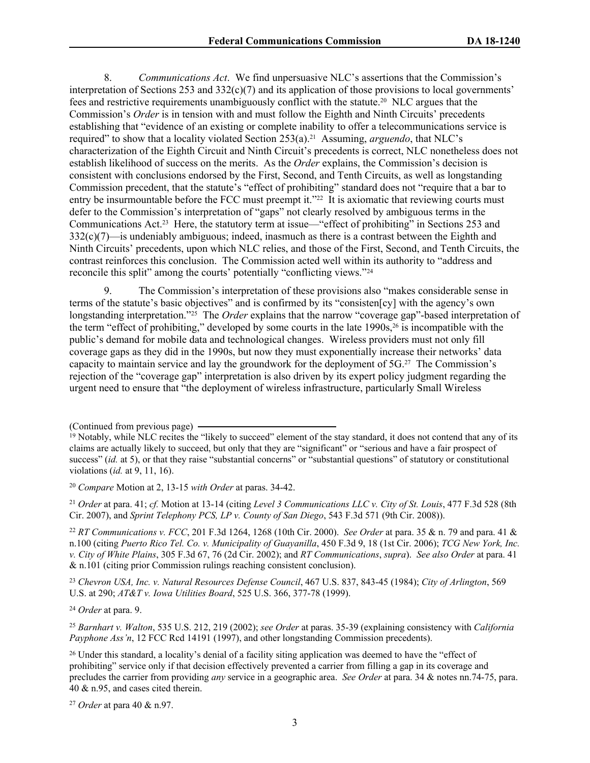8. *Communications Act*. We find unpersuasive NLC's assertions that the Commission's interpretation of Sections 253 and  $332(c)(7)$  and its application of those provisions to local governments' fees and restrictive requirements unambiguously conflict with the statute.<sup>20</sup> NLC argues that the Commission's *Order* is in tension with and must follow the Eighth and Ninth Circuits' precedents establishing that "evidence of an existing or complete inability to offer a telecommunications service is required" to show that a locality violated Section 253(a).<sup>21</sup> Assuming, *arguendo*, that NLC's characterization of the Eighth Circuit and Ninth Circuit's precedents is correct, NLC nonetheless does not establish likelihood of success on the merits. As the *Order* explains, the Commission's decision is consistent with conclusions endorsed by the First, Second, and Tenth Circuits, as well as longstanding Commission precedent, that the statute's "effect of prohibiting" standard does not "require that a bar to entry be insurmountable before the FCC must preempt it."<sup>22</sup> It is axiomatic that reviewing courts must defer to the Commission's interpretation of "gaps" not clearly resolved by ambiguous terms in the Communications Act.<sup>23</sup> Here, the statutory term at issue—"effect of prohibiting" in Sections 253 and 332(c)(7)—is undeniably ambiguous; indeed, inasmuch as there is a contrast between the Eighth and Ninth Circuits' precedents, upon which NLC relies, and those of the First, Second, and Tenth Circuits, the contrast reinforces this conclusion. The Commission acted well within its authority to "address and reconcile this split" among the courts' potentially "conflicting views."<sup>24</sup>

9. The Commission's interpretation of these provisions also "makes considerable sense in terms of the statute's basic objectives" and is confirmed by its "consisten[cy] with the agency's own longstanding interpretation."<sup>25</sup> The *Order* explains that the narrow "coverage gap"-based interpretation of the term "effect of prohibiting," developed by some courts in the late  $1990s<sub>1</sub><sup>26</sup>$  is incompatible with the public's demand for mobile data and technological changes. Wireless providers must not only fill coverage gaps as they did in the 1990s, but now they must exponentially increase their networks' data capacity to maintain service and lay the groundwork for the deployment of 5G.<sup>27</sup> The Commission's rejection of the "coverage gap" interpretation is also driven by its expert policy judgment regarding the urgent need to ensure that "the deployment of wireless infrastructure, particularly Small Wireless

<sup>21</sup> *Order* at para. 41; *cf.* Motion at 13-14 (citing *Level 3 Communications LLC v. City of St. Louis*, 477 F.3d 528 (8th Cir. 2007), and *Sprint Telephony PCS, LP v. County of San Diego*, 543 F.3d 571 (9th Cir. 2008)).

<sup>22</sup> *RT Communications v. FCC*, 201 F.3d 1264, 1268 (10th Cir. 2000). *See Order* at para. 35 & n. 79 and para. 41 & n.100 (citing *Puerto Rico Tel. Co. v. Municipality of Guayanilla*, 450 F.3d 9, 18 (1st Cir. 2006); *TCG New York, Inc. v. City of White Plains*, 305 F.3d 67, 76 (2d Cir. 2002); and *RT Communications*, *supra*). *See also Order* at para. 41 & n.101 (citing prior Commission rulings reaching consistent conclusion).

<sup>23</sup> *Chevron USA, Inc. v. Natural Resources Defense Council*, 467 U.S. 837, 843-45 (1984); *City of Arlington*, 569 U.S. at 290; *AT&T v. Iowa Utilities Board*, 525 U.S. 366, 377-78 (1999).

<sup>24</sup> *Order* at para. 9.

<sup>25</sup> *Barnhart v. Walton*, 535 U.S. 212, 219 (2002); *see Order* at paras. 35-39 (explaining consistency with *California Payphone Ass'n*, 12 FCC Rcd 14191 (1997), and other longstanding Commission precedents).

<sup>26</sup> Under this standard, a locality's denial of a facility siting application was deemed to have the "effect of prohibiting" service only if that decision effectively prevented a carrier from filling a gap in its coverage and precludes the carrier from providing *any* service in a geographic area. *See Order* at para. 34 & notes nn.74-75, para. 40 & n.95, and cases cited therein.

<sup>27</sup> *Order* at para 40 & n.97.

<sup>(</sup>Continued from previous page)

<sup>&</sup>lt;sup>19</sup> Notably, while NLC recites the "likely to succeed" element of the stay standard, it does not contend that any of its claims are actually likely to succeed, but only that they are "significant" or "serious and have a fair prospect of success" (*id.* at 5), or that they raise "substantial concerns" or "substantial questions" of statutory or constitutional violations (*id.* at 9, 11, 16).

<sup>20</sup> *Compare* Motion at 2, 13-15 *with Order* at paras. 34-42.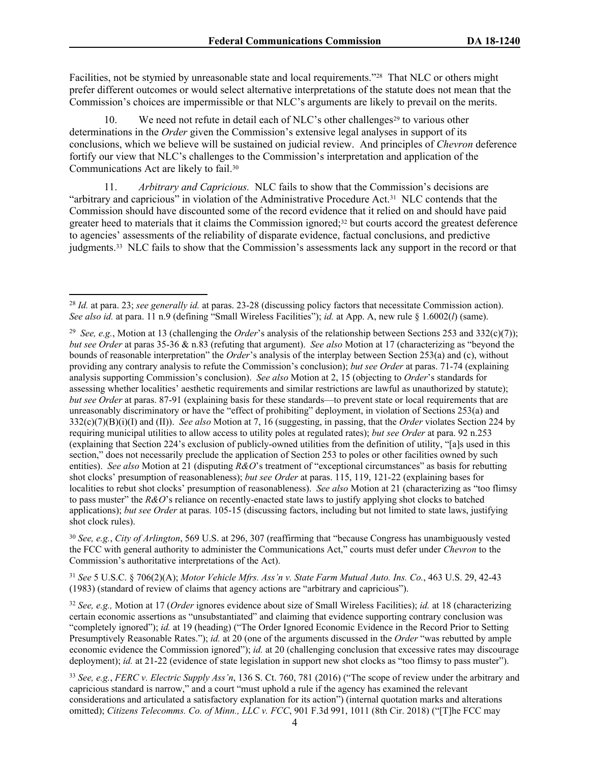Facilities, not be stymied by unreasonable state and local requirements."<sup>28</sup> That NLC or others might prefer different outcomes or would select alternative interpretations of the statute does not mean that the Commission's choices are impermissible or that NLC's arguments are likely to prevail on the merits.

We need not refute in detail each of NLC's other challenges<sup>29</sup> to various other determinations in the *Order* given the Commission's extensive legal analyses in support of its conclusions, which we believe will be sustained on judicial review. And principles of *Chevron* deference fortify our view that NLC's challenges to the Commission's interpretation and application of the Communications Act are likely to fail.<sup>30</sup>

11. *Arbitrary and Capricious.* NLC fails to show that the Commission's decisions are "arbitrary and capricious" in violation of the Administrative Procedure Act.<sup>31</sup> NLC contends that the Commission should have discounted some of the record evidence that it relied on and should have paid greater heed to materials that it claims the Commission ignored;<sup>32</sup> but courts accord the greatest deference to agencies' assessments of the reliability of disparate evidence, factual conclusions, and predictive judgments.<sup>33</sup> NLC fails to show that the Commission's assessments lack any support in the record or that

<sup>30</sup> *See, e.g.*, *City of Arlington*, 569 U.S. at 296, 307 (reaffirming that "because Congress has unambiguously vested the FCC with general authority to administer the Communications Act," courts must defer under *Chevron* to the Commission's authoritative interpretations of the Act).

<sup>31</sup> *See* 5 U.S.C. § 706(2)(A); *Motor Vehicle Mfrs. Ass'n v. State Farm Mutual Auto. Ins. Co.*, 463 U.S. 29, 42-43 (1983) (standard of review of claims that agency actions are "arbitrary and capricious").

<sup>28</sup> *Id.* at para. 23; *see generally id.* at paras. 23-28 (discussing policy factors that necessitate Commission action). *See also id.* at para. 11 n.9 (defining "Small Wireless Facilities"); *id.* at App. A, new rule § 1.6002(*l*) (same).

<sup>&</sup>lt;sup>29</sup> See, e.g., Motion at 13 (challenging the *Order*'s analysis of the relationship between Sections 253 and 332(c)(7)); *but see Order* at paras 35-36 & n.83 (refuting that argument). *See also* Motion at 17 (characterizing as "beyond the bounds of reasonable interpretation" the *Order*'s analysis of the interplay between Section 253(a) and (c), without providing any contrary analysis to refute the Commission's conclusion); *but see Order* at paras. 71-74 (explaining analysis supporting Commission's conclusion). *See also* Motion at 2, 15 (objecting to *Order*'s standards for assessing whether localities' aesthetic requirements and similar restrictions are lawful as unauthorized by statute); *but see Order* at paras. 87-91 (explaining basis for these standards—to prevent state or local requirements that are unreasonably discriminatory or have the "effect of prohibiting" deployment, in violation of Sections 253(a) and 332(c)(7)(B)(i)(I) and (II)). *See also* Motion at 7, 16 (suggesting, in passing, that the *Order* violates Section 224 by requiring municipal utilities to allow access to utility poles at regulated rates); *but see Order* at para. 92 n.253 (explaining that Section 224's exclusion of publicly-owned utilities from the definition of utility, "[a]s used in this section," does not necessarily preclude the application of Section 253 to poles or other facilities owned by such entities). *See also* Motion at 21 (disputing *R&O*'s treatment of "exceptional circumstances" as basis for rebutting shot clocks' presumption of reasonableness); *but see Order* at paras. 115, 119, 121-22 (explaining bases for localities to rebut shot clocks' presumption of reasonableness). *See also* Motion at 21 (characterizing as "too flimsy to pass muster" the *R&O*'s reliance on recently-enacted state laws to justify applying shot clocks to batched applications); *but see Order* at paras. 105-15 (discussing factors, including but not limited to state laws, justifying shot clock rules).

<sup>32</sup> *See, e.g.,* Motion at 17 (*Order* ignores evidence about size of Small Wireless Facilities); *id.* at 18 (characterizing certain economic assertions as "unsubstantiated" and claiming that evidence supporting contrary conclusion was "completely ignored"); *id.* at 19 (heading) ("The Order Ignored Economic Evidence in the Record Prior to Setting Presumptively Reasonable Rates."); *id.* at 20 (one of the arguments discussed in the *Order* "was rebutted by ample economic evidence the Commission ignored"); *id.* at 20 (challenging conclusion that excessive rates may discourage deployment); *id.* at 21-22 (evidence of state legislation in support new shot clocks as "too flimsy to pass muster").

<sup>33</sup> *See, e.g.*, *FERC v. Electric Supply Ass'n*, 136 S. Ct. 760, 781 (2016) ("The scope of review under the arbitrary and capricious standard is narrow," and a court "must uphold a rule if the agency has examined the relevant considerations and articulated a satisfactory explanation for its action") (internal quotation marks and alterations omitted); *Citizens Telecomms. Co. of Minn., LLC v. FCC*, 901 F.3d 991, 1011 (8th Cir. 2018) ("[T]he FCC may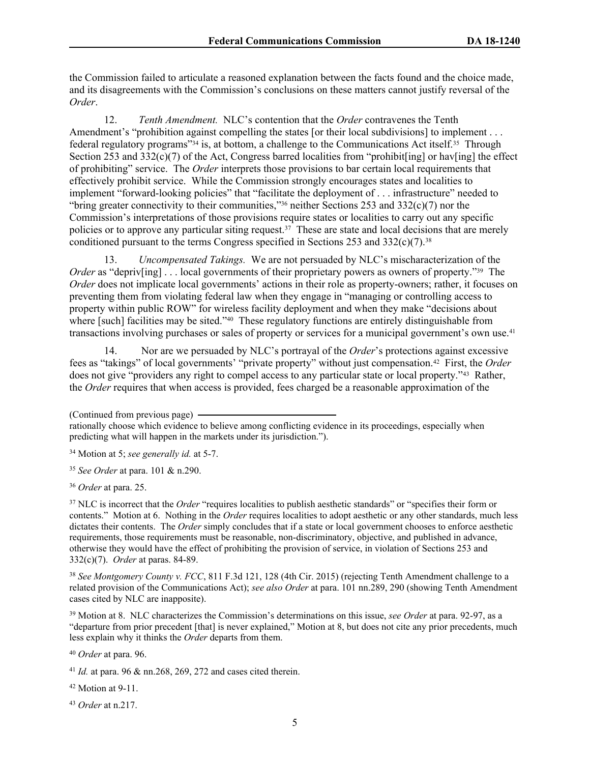the Commission failed to articulate a reasoned explanation between the facts found and the choice made, and its disagreements with the Commission's conclusions on these matters cannot justify reversal of the *Order*.

12. *Tenth Amendment.* NLC's contention that the *Order* contravenes the Tenth Amendment's "prohibition against compelling the states [or their local subdivisions] to implement . . . federal regulatory programs"<sup>34</sup> is, at bottom, a challenge to the Communications Act itself.<sup>35</sup> Through Section 253 and  $332(c)(7)$  of the Act, Congress barred localities from "prohibit[ing] or hav[ing] the effect of prohibiting" service. The *Order* interprets those provisions to bar certain local requirements that effectively prohibit service. While the Commission strongly encourages states and localities to implement "forward-looking policies" that "facilitate the deployment of . . . infrastructure" needed to "bring greater connectivity to their communities,"<sup>36</sup> neither Sections 253 and  $332(c)(7)$  nor the Commission's interpretations of those provisions require states or localities to carry out any specific policies or to approve any particular siting request.<sup>37</sup> These are state and local decisions that are merely conditioned pursuant to the terms Congress specified in Sections 253 and  $332(c)(7)$ .<sup>38</sup>

13. *Uncompensated Takings.* We are not persuaded by NLC's mischaracterization of the *Order* as "depriv[ing] . . . local governments of their proprietary powers as owners of property."<sup>39</sup> The *Order* does not implicate local governments' actions in their role as property-owners; rather, it focuses on preventing them from violating federal law when they engage in "managing or controlling access to property within public ROW" for wireless facility deployment and when they make "decisions about where [such] facilities may be sited."<sup>40</sup> These regulatory functions are entirely distinguishable from transactions involving purchases or sales of property or services for a municipal government's own use.<sup>41</sup>

14. Nor are we persuaded by NLC's portrayal of the *Order*'s protections against excessive fees as "takings" of local governments' "private property" without just compensation.<sup>42</sup> First, the *Order* does not give "providers any right to compel access to any particular state or local property."<sup>43</sup> Rather, the *Order* requires that when access is provided, fees charged be a reasonable approximation of the

(Continued from previous page)

rationally choose which evidence to believe among conflicting evidence in its proceedings, especially when predicting what will happen in the markets under its jurisdiction.").

<sup>34</sup> Motion at 5; *see generally id.* at 5-7.

<sup>35</sup> *See Order* at para. 101 & n.290.

<sup>36</sup> *Order* at para. 25.

<sup>37</sup> NLC is incorrect that the *Order* "requires localities to publish aesthetic standards" or "specifies their form or contents." Motion at 6. Nothing in the *Order* requires localities to adopt aesthetic or any other standards, much less dictates their contents. The *Order* simply concludes that if a state or local government chooses to enforce aesthetic requirements, those requirements must be reasonable, non-discriminatory, objective, and published in advance, otherwise they would have the effect of prohibiting the provision of service, in violation of Sections 253 and 332(c)(7). *Order* at paras. 84-89.

<sup>38</sup> *See Montgomery County v. FCC*, 811 F.3d 121, 128 (4th Cir. 2015) (rejecting Tenth Amendment challenge to a related provision of the Communications Act); *see also Order* at para. 101 nn.289, 290 (showing Tenth Amendment cases cited by NLC are inapposite).

<sup>39</sup> Motion at 8. NLC characterizes the Commission's determinations on this issue, *see Order* at para. 92-97, as a "departure from prior precedent [that] is never explained," Motion at 8, but does not cite any prior precedents, much less explain why it thinks the *Order* departs from them.

<sup>40</sup> *Order* at para. 96.

<sup>41</sup> *Id.* at para. 96 & nn.268, 269, 272 and cases cited therein.

<sup>42</sup> Motion at 9-11.

<sup>43</sup> *Order* at n.217.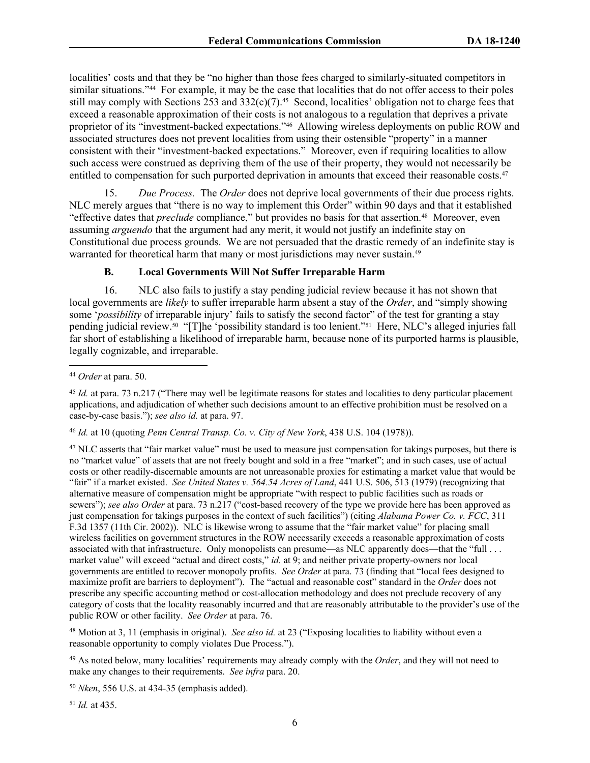localities' costs and that they be "no higher than those fees charged to similarly-situated competitors in similar situations."<sup>44</sup> For example, it may be the case that localities that do not offer access to their poles still may comply with Sections 253 and 332(c)(7).<sup>45</sup> Second, localities' obligation not to charge fees that exceed a reasonable approximation of their costs is not analogous to a regulation that deprives a private proprietor of its "investment-backed expectations."<sup>46</sup> Allowing wireless deployments on public ROW and associated structures does not prevent localities from using their ostensible "property" in a manner consistent with their "investment-backed expectations." Moreover, even if requiring localities to allow such access were construed as depriving them of the use of their property, they would not necessarily be entitled to compensation for such purported deprivation in amounts that exceed their reasonable costs.<sup>47</sup>

15. *Due Process.* The *Order* does not deprive local governments of their due process rights. NLC merely argues that "there is no way to implement this Order" within 90 days and that it established "effective dates that *preclude* compliance," but provides no basis for that assertion.<sup>48</sup> Moreover, even assuming *arguendo* that the argument had any merit, it would not justify an indefinite stay on Constitutional due process grounds. We are not persuaded that the drastic remedy of an indefinite stay is warranted for theoretical harm that many or most jurisdictions may never sustain.<sup>49</sup>

### **B. Local Governments Will Not Suffer Irreparable Harm**

16. NLC also fails to justify a stay pending judicial review because it has not shown that local governments are *likely* to suffer irreparable harm absent a stay of the *Order*, and "simply showing some '*possibility* of irreparable injury' fails to satisfy the second factor" of the test for granting a stay pending judicial review.<sup>50</sup> "[T]he 'possibility standard is too lenient."<sup>51</sup> Here, NLC's alleged injuries fall far short of establishing a likelihood of irreparable harm, because none of its purported harms is plausible, legally cognizable, and irreparable.

#### <sup>46</sup> *Id.* at 10 (quoting *Penn Central Transp. Co. v. City of New York*, 438 U.S. 104 (1978)).

<sup>47</sup> NLC asserts that "fair market value" must be used to measure just compensation for takings purposes, but there is no "market value" of assets that are not freely bought and sold in a free "market"; and in such cases, use of actual costs or other readily-discernable amounts are not unreasonable proxies for estimating a market value that would be "fair" if a market existed. *See United States v. 564.54 Acres of Land*, 441 U.S. 506, 513 (1979) (recognizing that alternative measure of compensation might be appropriate "with respect to public facilities such as roads or sewers"); *see also Order* at para. 73 n.217 ("cost-based recovery of the type we provide here has been approved as just compensation for takings purposes in the context of such facilities") (citing *Alabama Power Co. v. FCC*, 311 F.3d 1357 (11th Cir. 2002)). NLC is likewise wrong to assume that the "fair market value" for placing small wireless facilities on government structures in the ROW necessarily exceeds a reasonable approximation of costs associated with that infrastructure. Only monopolists can presume—as NLC apparently does—that the "full . . . market value" will exceed "actual and direct costs," *id.* at 9; and neither private property-owners nor local governments are entitled to recover monopoly profits. *See Order* at para. 73 (finding that "local fees designed to maximize profit are barriers to deployment"). The "actual and reasonable cost" standard in the *Order* does not prescribe any specific accounting method or cost-allocation methodology and does not preclude recovery of any category of costs that the locality reasonably incurred and that are reasonably attributable to the provider's use of the public ROW or other facility. *See Order* at para. 76.

<sup>48</sup> Motion at 3, 11 (emphasis in original). *See also id.* at 23 ("Exposing localities to liability without even a reasonable opportunity to comply violates Due Process.").

<sup>49</sup> As noted below, many localities' requirements may already comply with the *Order*, and they will not need to make any changes to their requirements. *See infra* para. 20.

<sup>50</sup> *Nken*, 556 U.S. at 434-35 (emphasis added).

<sup>51</sup> *Id.* at 435.

<sup>44</sup> *Order* at para. 50.

<sup>45</sup> *Id.* at para. 73 n.217 ("There may well be legitimate reasons for states and localities to deny particular placement applications, and adjudication of whether such decisions amount to an effective prohibition must be resolved on a case-by-case basis."); *see also id.* at para. 97.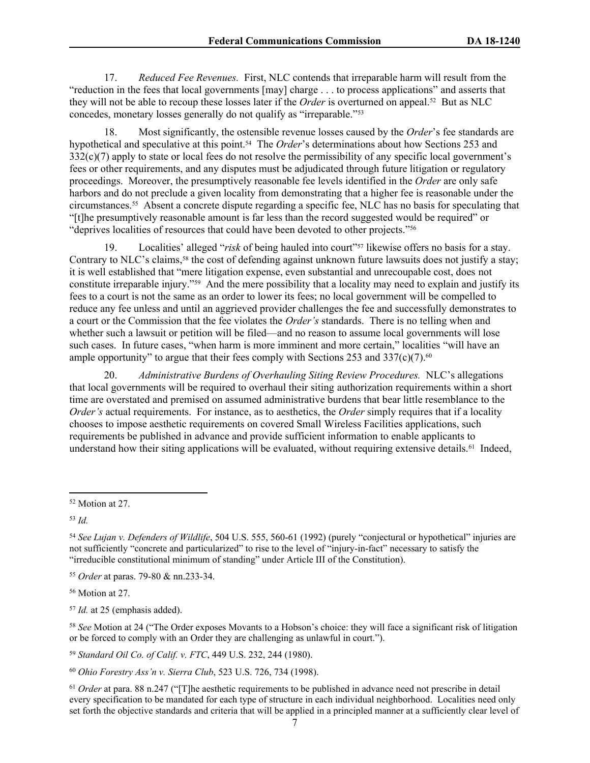17. *Reduced Fee Revenues.* First, NLC contends that irreparable harm will result from the "reduction in the fees that local governments [may] charge . . . to process applications" and asserts that they will not be able to recoup these losses later if the *Order* is overturned on appeal.<sup>52</sup> But as NLC concedes, monetary losses generally do not qualify as "irreparable."<sup>53</sup>

18. Most significantly, the ostensible revenue losses caused by the *Order*'s fee standards are hypothetical and speculative at this point.<sup>54</sup> The *Order*'s determinations about how Sections 253 and 332(c)(7) apply to state or local fees do not resolve the permissibility of any specific local government's fees or other requirements, and any disputes must be adjudicated through future litigation or regulatory proceedings. Moreover, the presumptively reasonable fee levels identified in the *Order* are only safe harbors and do not preclude a given locality from demonstrating that a higher fee is reasonable under the circumstances.<sup>55</sup> Absent a concrete dispute regarding a specific fee, NLC has no basis for speculating that "[t]he presumptively reasonable amount is far less than the record suggested would be required" or "deprives localities of resources that could have been devoted to other projects."<sup>56</sup>

19. Localities' alleged "*risk* of being hauled into court"<sup>57</sup> likewise offers no basis for a stay. Contrary to NLC's claims,<sup>58</sup> the cost of defending against unknown future lawsuits does not justify a stay; it is well established that "mere litigation expense, even substantial and unrecoupable cost, does not constitute irreparable injury."<sup>59</sup> And the mere possibility that a locality may need to explain and justify its fees to a court is not the same as an order to lower its fees; no local government will be compelled to reduce any fee unless and until an aggrieved provider challenges the fee and successfully demonstrates to a court or the Commission that the fee violates the *Order's* standards. There is no telling when and whether such a lawsuit or petition will be filed—and no reason to assume local governments will lose such cases. In future cases, "when harm is more imminent and more certain," localities "will have an ample opportunity" to argue that their fees comply with Sections 253 and  $337(c)(7)$ .<sup>60</sup>

20. *Administrative Burdens of Overhauling Siting Review Procedures.* NLC's allegations that local governments will be required to overhaul their siting authorization requirements within a short time are overstated and premised on assumed administrative burdens that bear little resemblance to the *Order's* actual requirements. For instance, as to aesthetics, the *Order* simply requires that if a locality chooses to impose aesthetic requirements on covered Small Wireless Facilities applications, such requirements be published in advance and provide sufficient information to enable applicants to understand how their siting applications will be evaluated, without requiring extensive details.<sup>61</sup> Indeed,

<sup>53</sup> *Id.*

<sup>55</sup> *Order* at paras. 79-80 & nn.233-34.

<sup>56</sup> Motion at 27.

<sup>57</sup> *Id.* at 25 (emphasis added).

<sup>58</sup> *See* Motion at 24 ("The Order exposes Movants to a Hobson's choice: they will face a significant risk of litigation or be forced to comply with an Order they are challenging as unlawful in court.").

<sup>59</sup> *Standard Oil Co. of Calif. v. FTC*, 449 U.S. 232, 244 (1980).

<sup>60</sup> *Ohio Forestry Ass'n v. Sierra Club*, 523 U.S. 726, 734 (1998).

<sup>61</sup> *Order* at para. 88 n.247 ("[T]he aesthetic requirements to be published in advance need not prescribe in detail every specification to be mandated for each type of structure in each individual neighborhood. Localities need only set forth the objective standards and criteria that will be applied in a principled manner at a sufficiently clear level of

<sup>52</sup> Motion at 27.

<sup>54</sup> *See Lujan v. Defenders of Wildlife*, 504 U.S. 555, 560-61 (1992) (purely "conjectural or hypothetical" injuries are not sufficiently "concrete and particularized" to rise to the level of "injury-in-fact" necessary to satisfy the "irreducible constitutional minimum of standing" under Article III of the Constitution).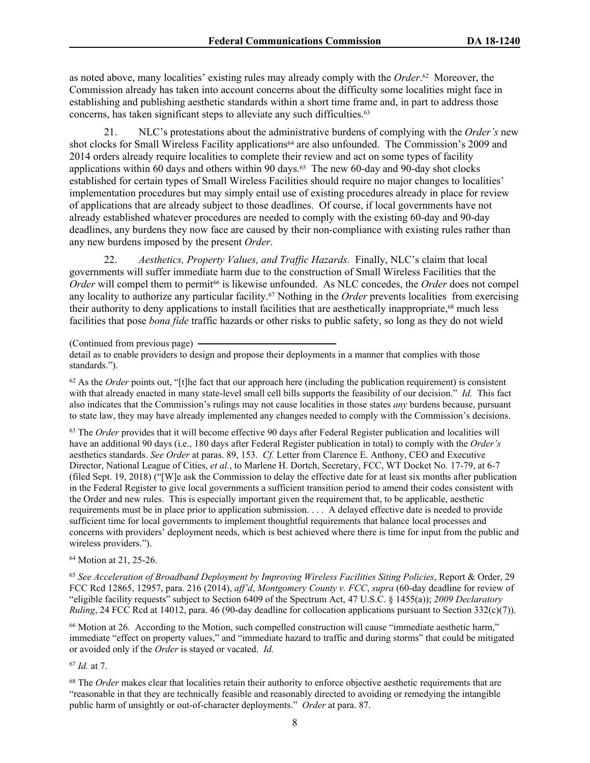as noted above, many localities' existing rules may already comply with the *Order*. 62 Moreover, the Commission already has taken into account concerns about the difficulty some localities might face in establishing and publishing aesthetic standards within a short time frame and, in part to address those concerns, has taken significant steps to alleviate any such difficulties.<sup>63</sup>

21. NLC's protestations about the administrative burdens of complying with the *Order's* new shot clocks for Small Wireless Facility applications<sup>64</sup> are also unfounded. The Commission's 2009 and 2014 orders already require localities to complete their review and act on some types of facility applications within 60 days and others within 90 days.<sup>65</sup> The new 60-day and 90-day shot clocks established for certain types of Small Wireless Facilities should require no major changes to localities' implementation procedures but may simply entail use of existing procedures already in place for review of applications that are already subject to those deadlines. Of course, if local governments have not already established whatever procedures are needed to comply with the existing 60-day and 90-day deadlines, any burdens they now face are caused by their non-compliance with existing rules rather than any new burdens imposed by the present *Order*.

22. *Aesthetics, Property Values, and Traffic Hazards.* Finally, NLC's claim that local governments will suffer immediate harm due to the construction of Small Wireless Facilities that the *Order* will compel them to permit<sup>66</sup> is likewise unfounded. As NLC concedes, the *Order* does not compel any locality to authorize any particular facility.<sup>67</sup> Nothing in the *Order* prevents localities from exercising their authority to deny applications to install facilities that are aesthetically inappropriate,<sup>68</sup> much less facilities that pose *bona fide* traffic hazards or other risks to public safety, so long as they do not wield

<sup>62</sup> As the *Order* points out, "[t]he fact that our approach here (including the publication requirement) is consistent with that already enacted in many state-level small cell bills supports the feasibility of our decision." *Id.* This fact also indicates that the Commission's rulings may not cause localities in those states *any* burdens because, pursuant to state law, they may have already implemented any changes needed to comply with the Commission's decisions.

<sup>63</sup> The *Order* provides that it will become effective 90 days after Federal Register publication and localities will have an additional 90 days (i.e., 180 days after Federal Register publication in total) to comply with the *Order's* aesthetics standards. *See Order* at paras. 89, 153. *Cf.* Letter from Clarence E. Anthony, CEO and Executive Director, National League of Cities, *et al.*, to Marlene H. Dortch, Secretary, FCC, WT Docket No. 17-79, at 6-7 (filed Sept. 19, 2018) ("[W]e ask the Commission to delay the effective date for at least six months after publication in the Federal Register to give local governments a sufficient transition period to amend their codes consistent with the Order and new rules. This is especially important given the requirement that, to be applicable, aesthetic requirements must be in place prior to application submission. . . . A delayed effective date is needed to provide sufficient time for local governments to implement thoughtful requirements that balance local processes and concerns with providers' deployment needs, which is best achieved where there is time for input from the public and wireless providers.").

#### <sup>64</sup> Motion at 21, 25-26.

<sup>65</sup> *See Acceleration of Broadband Deployment by Improving Wireless Facilities Siting Policies*, Report & Order, 29 FCC Rcd 12865, 12957, para. 216 (2014), *aff'd*, *Montgomery County v. FCC*, *supra* (60-day deadline for review of "eligible facility requests" subject to Section 6409 of the Spectrum Act, 47 U.S.C. § 1455(a)); *2009 Declaratory Ruling*, 24 FCC Rcd at 14012, para. 46 (90-day deadline for collocation applications pursuant to Section 332(c)(7)).

<sup>66</sup> Motion at 26. According to the Motion, such compelled construction will cause "immediate aesthetic harm," immediate "effect on property values," and "immediate hazard to traffic and during storms" that could be mitigated or avoided only if the *Order* is stayed or vacated. *Id.*

<sup>67</sup> *Id.* at 7.

<sup>68</sup> The *Order* makes clear that localities retain their authority to enforce objective aesthetic requirements that are "reasonable in that they are technically feasible and reasonably directed to avoiding or remedying the intangible public harm of unsightly or out-of-character deployments." *Order* at para. 87.

<sup>(</sup>Continued from previous page)

detail as to enable providers to design and propose their deployments in a manner that complies with those standards.").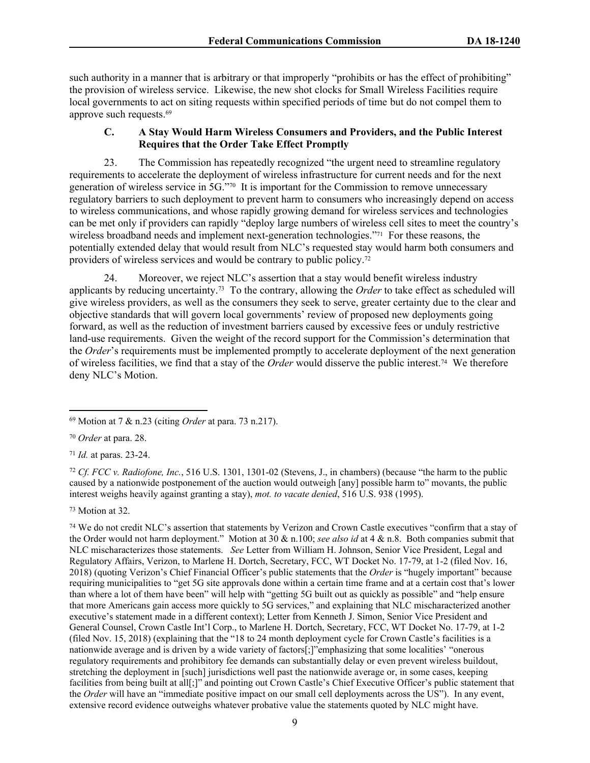such authority in a manner that is arbitrary or that improperly "prohibits or has the effect of prohibiting" the provision of wireless service. Likewise, the new shot clocks for Small Wireless Facilities require local governments to act on siting requests within specified periods of time but do not compel them to approve such requests.<sup>69</sup>

## **C. A Stay Would Harm Wireless Consumers and Providers, and the Public Interest Requires that the Order Take Effect Promptly**

23. The Commission has repeatedly recognized "the urgent need to streamline regulatory requirements to accelerate the deployment of wireless infrastructure for current needs and for the next generation of wireless service in 5G."<sup>70</sup> It is important for the Commission to remove unnecessary regulatory barriers to such deployment to prevent harm to consumers who increasingly depend on access to wireless communications, and whose rapidly growing demand for wireless services and technologies can be met only if providers can rapidly "deploy large numbers of wireless cell sites to meet the country's wireless broadband needs and implement next-generation technologies."<sup>71</sup> For these reasons, the potentially extended delay that would result from NLC's requested stay would harm both consumers and providers of wireless services and would be contrary to public policy.<sup>72</sup>

24. Moreover, we reject NLC's assertion that a stay would benefit wireless industry applicants by reducing uncertainty.<sup>73</sup> To the contrary, allowing the *Order* to take effect as scheduled will give wireless providers, as well as the consumers they seek to serve, greater certainty due to the clear and objective standards that will govern local governments' review of proposed new deployments going forward, as well as the reduction of investment barriers caused by excessive fees or unduly restrictive land-use requirements. Given the weight of the record support for the Commission's determination that the *Order*'s requirements must be implemented promptly to accelerate deployment of the next generation of wireless facilities, we find that a stay of the *Order* would disserve the public interest.<sup>74</sup> We therefore deny NLC's Motion.

<sup>72</sup> *Cf. FCC v. Radiofone, Inc.*, 516 U.S. 1301, 1301-02 (Stevens, J., in chambers) (because "the harm to the public caused by a nationwide postponement of the auction would outweigh [any] possible harm to" movants, the public interest weighs heavily against granting a stay), *mot. to vacate denied*, 516 U.S. 938 (1995).

<sup>73</sup> Motion at 32.

<sup>74</sup> We do not credit NLC's assertion that statements by Verizon and Crown Castle executives "confirm that a stay of the Order would not harm deployment." Motion at 30 & n.100; *see also id* at 4 & n.8. Both companies submit that NLC mischaracterizes those statements. *See* Letter from William H. Johnson, Senior Vice President, Legal and Regulatory Affairs, Verizon, to Marlene H. Dortch, Secretary, FCC, WT Docket No. 17-79, at 1-2 (filed Nov. 16, 2018) (quoting Verizon's Chief Financial Officer's public statements that the *Order* is "hugely important" because requiring municipalities to "get 5G site approvals done within a certain time frame and at a certain cost that's lower than where a lot of them have been" will help with "getting 5G built out as quickly as possible" and "help ensure that more Americans gain access more quickly to 5G services," and explaining that NLC mischaracterized another executive's statement made in a different context); Letter from Kenneth J. Simon, Senior Vice President and General Counsel, Crown Castle Int'l Corp., to Marlene H. Dortch, Secretary, FCC, WT Docket No. 17-79, at 1-2 (filed Nov. 15, 2018) (explaining that the "18 to 24 month deployment cycle for Crown Castle's facilities is a nationwide average and is driven by a wide variety of factors[;]"emphasizing that some localities' "onerous regulatory requirements and prohibitory fee demands can substantially delay or even prevent wireless buildout, stretching the deployment in [such] jurisdictions well past the nationwide average or, in some cases, keeping facilities from being built at all[;]" and pointing out Crown Castle's Chief Executive Officer's public statement that the *Order* will have an "immediate positive impact on our small cell deployments across the US"). In any event, extensive record evidence outweighs whatever probative value the statements quoted by NLC might have.

<sup>69</sup> Motion at 7 & n.23 (citing *Order* at para. 73 n.217).

<sup>70</sup> *Order* at para. 28.

<sup>71</sup> *Id.* at paras. 23-24.